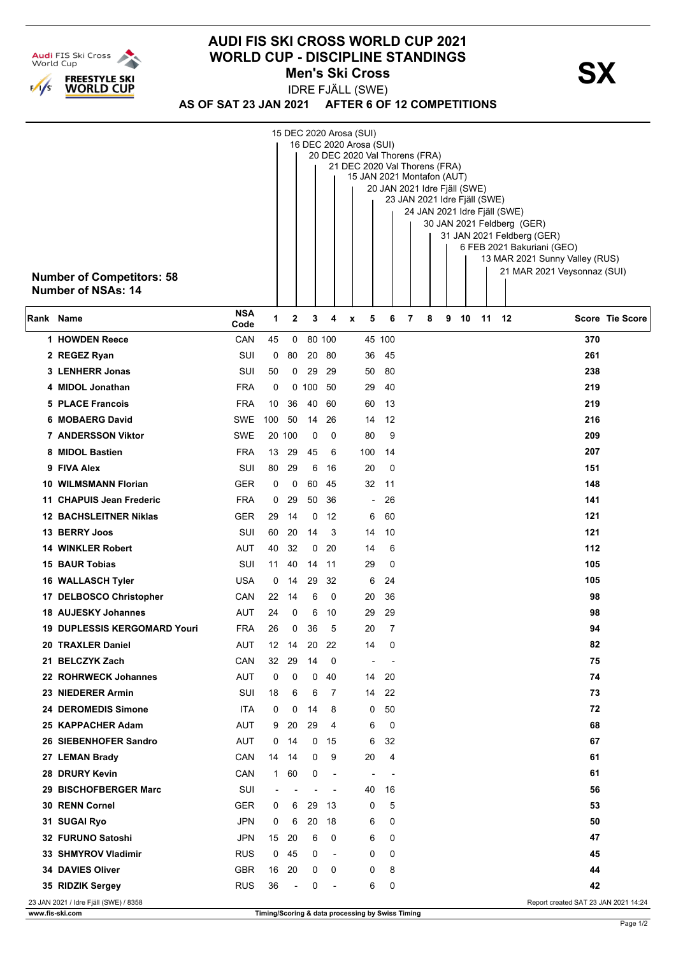

## **AUDI FIS SKI CROSS WORLD CUP 2021 WORLD CUP - DISCIPLINE STANDINGS<br>Men's Ski Cross Men's Ski Cross**

IDRE FJÄLL (SWE)

**AS OF SAT 23 JAN 2021 AFTER 6 OF 12 COMPETITIONS**

|           | <b>Number of Competitors: 58</b><br><b>Number of NSAs: 14</b> |                    | 15 DEC 2020 Arosa (SUI)<br>16 DEC 2020 Arosa (SUI)<br>20 DEC 2020 Val Thorens (FRA)<br>21 DEC 2020 Val Thorens (FRA)<br>15 JAN 2021 Montafon (AUT)<br>20 JAN 2021 Idre Fjäll (SWE)<br>23 JAN 2021 Idre Fjäll (SWE)<br>24 JAN 2021 Idre Fjäll (SWE)<br>30 JAN 2021 Feldberg (GER)<br>31 JAN 2021 Feldberg (GER)<br>6 FEB 2021 Bakuriani (GEO)<br>13 MAR 2021 Sunny Valley (RUS)<br>21 MAR 2021 Veysonnaz (SUI) |                |                |                          |                                                  |                          |   |   |   |    |    |    |                                      |                        |
|-----------|---------------------------------------------------------------|--------------------|---------------------------------------------------------------------------------------------------------------------------------------------------------------------------------------------------------------------------------------------------------------------------------------------------------------------------------------------------------------------------------------------------------------|----------------|----------------|--------------------------|--------------------------------------------------|--------------------------|---|---|---|----|----|----|--------------------------------------|------------------------|
| Rank Name |                                                               | <b>NSA</b><br>Code | 1                                                                                                                                                                                                                                                                                                                                                                                                             | $\mathbf{2}$   | 3              | 4                        | 5<br>x                                           | 6                        | 7 | 8 | 9 | 10 | 11 | 12 |                                      | <b>Score Tie Score</b> |
|           | 1 HOWDEN Reece                                                | CAN                | 45                                                                                                                                                                                                                                                                                                                                                                                                            | 0              |                | 80 100                   |                                                  | 45 100                   |   |   |   |    |    |    | 370                                  |                        |
|           | 2 REGEZ Ryan                                                  | SUI                | 0                                                                                                                                                                                                                                                                                                                                                                                                             | 80             | 20             | -80                      | 36                                               | 45                       |   |   |   |    |    |    | 261                                  |                        |
|           | 3 LENHERR Jonas                                               | SUI                | 50                                                                                                                                                                                                                                                                                                                                                                                                            | 0              | 29             | -29                      | 50                                               | 80                       |   |   |   |    |    |    | 238                                  |                        |
|           | 4 MIDOL Jonathan                                              | <b>FRA</b>         | 0                                                                                                                                                                                                                                                                                                                                                                                                             |                | 0,100          | 50                       | 29                                               | 40                       |   |   |   |    |    |    | 219                                  |                        |
|           | <b>5 PLACE Francois</b>                                       | <b>FRA</b>         | 10                                                                                                                                                                                                                                                                                                                                                                                                            | 36             | 40             | 60                       | 60                                               | 13                       |   |   |   |    |    |    | 219                                  |                        |
|           | 6 MOBAERG David                                               | SWE                | 100                                                                                                                                                                                                                                                                                                                                                                                                           | 50             | 14             | 26                       | 14                                               | 12                       |   |   |   |    |    |    | 216                                  |                        |
|           | <b>7 ANDERSSON Viktor</b>                                     | SWE                | 20                                                                                                                                                                                                                                                                                                                                                                                                            | 100            | 0              | 0                        | 80                                               | 9                        |   |   |   |    |    |    | 209                                  |                        |
|           | 8 MIDOL Bastien                                               | <b>FRA</b>         | 13                                                                                                                                                                                                                                                                                                                                                                                                            | 29             | 45             | 6                        | 100                                              | 14                       |   |   |   |    |    |    | 207                                  |                        |
|           | 9 FIVA Alex                                                   | SUI                | 80                                                                                                                                                                                                                                                                                                                                                                                                            | 29             | 6              | 16                       | 20                                               | 0                        |   |   |   |    |    |    | 151                                  |                        |
| 10        | <b>WILMSMANN Florian</b>                                      | <b>GER</b>         | 0                                                                                                                                                                                                                                                                                                                                                                                                             | 0              | 60             | 45                       | 32                                               | 11                       |   |   |   |    |    |    | 148                                  |                        |
|           | 11 CHAPUIS Jean Frederic                                      | <b>FRA</b>         | 0                                                                                                                                                                                                                                                                                                                                                                                                             | 29             | 50             | -36                      | $\overline{\phantom{a}}$                         | 26                       |   |   |   |    |    |    | 141                                  |                        |
|           | <b>12 BACHSLEITNER Niklas</b>                                 | <b>GER</b>         | 29                                                                                                                                                                                                                                                                                                                                                                                                            | 14             | 0              | 12                       | 6                                                | 60                       |   |   |   |    |    |    | 121                                  |                        |
|           | 13 BERRY Joos                                                 | SUI                | 60                                                                                                                                                                                                                                                                                                                                                                                                            | 20             | 14             | 3                        | 14                                               | 10                       |   |   |   |    |    |    | 121                                  |                        |
|           | <b>14 WINKLER Robert</b>                                      | AUT                | 40                                                                                                                                                                                                                                                                                                                                                                                                            | 32             | 0              | -20                      | 14                                               | 6                        |   |   |   |    |    |    | 112                                  |                        |
|           | <b>15 BAUR Tobias</b>                                         | SUI                | 11                                                                                                                                                                                                                                                                                                                                                                                                            | 40             | 14             | -11                      | 29                                               | 0                        |   |   |   |    |    |    | 105                                  |                        |
|           | 16 WALLASCH Tyler                                             | <b>USA</b>         | 0                                                                                                                                                                                                                                                                                                                                                                                                             | 14             | 29             | 32                       | 6                                                | 24                       |   |   |   |    |    |    | 105                                  |                        |
|           | 17 DELBOSCO Christopher                                       | CAN                | 22                                                                                                                                                                                                                                                                                                                                                                                                            | 14             | 6              | 0                        | 20                                               | 36                       |   |   |   |    |    |    | 98                                   |                        |
|           | <b>18 AUJESKY Johannes</b>                                    | AUT                | 24                                                                                                                                                                                                                                                                                                                                                                                                            | 0              | 6              | 10                       | 29                                               | 29                       |   |   |   |    |    |    |                                      | 98                     |
|           | 19 DUPLESSIS KERGOMARD Youri                                  | <b>FRA</b>         | 26                                                                                                                                                                                                                                                                                                                                                                                                            | 0              | 36             | 5                        | 20                                               | 7                        |   |   |   |    |    |    |                                      | 94                     |
|           | 20 TRAXLER Daniel                                             | AUT                | 12                                                                                                                                                                                                                                                                                                                                                                                                            | 14             | 20             | 22                       | 14                                               | 0                        |   |   |   |    |    |    | 82                                   |                        |
|           | 21 BELCZYK Zach                                               | CAN                | 32                                                                                                                                                                                                                                                                                                                                                                                                            | 29             | 14             | 0                        | $\blacksquare$                                   |                          |   |   |   |    |    |    | 75                                   |                        |
|           | 22 ROHRWECK Johannes                                          | AUT                | 0                                                                                                                                                                                                                                                                                                                                                                                                             | 0              | 0              | 40                       | 14                                               | 20                       |   |   |   |    |    |    | 74                                   |                        |
|           | 23 NIEDERER Armin                                             | SUI                | 18                                                                                                                                                                                                                                                                                                                                                                                                            | 6              | 6              | 7                        | 14                                               | 22                       |   |   |   |    |    |    | 73                                   |                        |
|           | 24 DEROMEDIS Simone                                           | <b>ITA</b>         | 0                                                                                                                                                                                                                                                                                                                                                                                                             | 0              | 14             | 8                        | 0                                                | 50                       |   |   |   |    |    |    | 72                                   |                        |
|           | 25 KAPPACHER Adam                                             | <b>AUT</b>         | 9                                                                                                                                                                                                                                                                                                                                                                                                             | 20             | 29             | 4                        | 6                                                | 0                        |   |   |   |    |    |    | 68                                   |                        |
|           | 26 SIEBENHOFER Sandro                                         | AUT                | 0                                                                                                                                                                                                                                                                                                                                                                                                             | 14             | 0              | 15                       | 6                                                | 32                       |   |   |   |    |    |    | 67                                   |                        |
|           | 27 LEMAN Brady                                                | CAN                | 14                                                                                                                                                                                                                                                                                                                                                                                                            | 14             | 0              | 9                        | 20                                               | 4                        |   |   |   |    |    |    | 61                                   |                        |
|           | 28 DRURY Kevin                                                | CAN                | $\mathbf{1}$                                                                                                                                                                                                                                                                                                                                                                                                  | 60             | 0              | $\overline{\phantom{a}}$ | $\overline{\phantom{a}}$                         | $\overline{\phantom{a}}$ |   |   |   |    |    |    | 61                                   |                        |
|           | 29 BISCHOFBERGER Marc                                         | SUI                | $\overline{\phantom{a}}$                                                                                                                                                                                                                                                                                                                                                                                      |                | $\overline{a}$ |                          | 40                                               | 16                       |   |   |   |    |    |    |                                      | 56                     |
|           | 30 RENN Cornel                                                | <b>GER</b>         | 0                                                                                                                                                                                                                                                                                                                                                                                                             | 6              | 29             | 13                       | 0                                                | 5                        |   |   |   |    |    |    |                                      | 53                     |
|           | 31 SUGAI Ryo                                                  | JPN                | 0                                                                                                                                                                                                                                                                                                                                                                                                             | 6              | 20             | 18                       | 6                                                | 0                        |   |   |   |    |    |    |                                      | 50                     |
|           | 32 FURUNO Satoshi                                             | <b>JPN</b>         | 15                                                                                                                                                                                                                                                                                                                                                                                                            | 20             | 6              | 0                        | 6                                                | 0                        |   |   |   |    |    |    | 47                                   |                        |
|           | 33 SHMYROV Vladimir                                           | <b>RUS</b>         | 0                                                                                                                                                                                                                                                                                                                                                                                                             | 45             | 0              | $\overline{\phantom{a}}$ | 0                                                | 0                        |   |   |   |    |    |    |                                      | 45                     |
|           | 34 DAVIES Oliver                                              | <b>GBR</b>         | 16                                                                                                                                                                                                                                                                                                                                                                                                            | 20             | 0              | 0                        | 0                                                | 8                        |   |   |   |    |    |    |                                      | 44                     |
|           | 35 RIDZIK Sergey                                              | <b>RUS</b>         | 36                                                                                                                                                                                                                                                                                                                                                                                                            | $\blacksquare$ | 0              |                          | 6                                                | 0                        |   |   |   |    |    |    |                                      | 42                     |
|           | 23 JAN 2021 / Idre Fjäll (SWE) / 8358<br>www.fis-ski.com      |                    |                                                                                                                                                                                                                                                                                                                                                                                                               |                |                |                          | Timing/Scoring & data processing by Swiss Timing |                          |   |   |   |    |    |    | Report created SAT 23 JAN 2021 14:24 |                        |